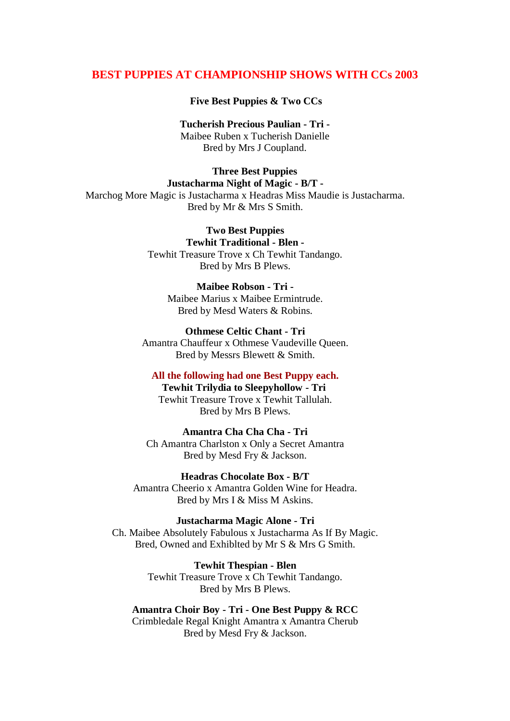## **BEST PUPPIES AT CHAMPIONSHIP SHOWS WITH CCs 2003**

**Five Best Puppies & Two CCs**

**Tucherish Precious Paulian - Tri -** Maibee Ruben x Tucherish Danielle Bred by Mrs J Coupland.

## **Three Best Puppies Justacharma Night of Magic - B/T -** Marchog More Magic is Justacharma x Headras Miss Maudie is Justacharma. Bred by Mr & Mrs S Smith.

**Two Best Puppies Tewhit Traditional - Blen -** Tewhit Treasure Trove x Ch Tewhit Tandango. Bred by Mrs B Plews.

**Maibee Robson - Tri -** Maibee Marius x Maibee Ermintrude. Bred by Mesd Waters & Robins.

**Othmese Celtic Chant - Tri**  Amantra Chauffeur x Othmese Vaudeville Queen. Bred by Messrs Blewett & Smith.

**All the following had one Best Puppy each.**

**Tewhit Trilydia to Sleepyhollow - Tri** Tewhit Treasure Trove x Tewhit Tallulah. Bred by Mrs B Plews.

**Amantra Cha Cha Cha - Tri** Ch Amantra Charlston x Only a Secret Amantra Bred by Mesd Fry & Jackson.

**Headras Chocolate Box - B/T** Amantra Cheerio x Amantra Golden Wine for Headra. Bred by Mrs I & Miss M Askins.

**Justacharma Magic Alone - Tri** Ch. Maibee Absolutely Fabulous x Justacharma As If By Magic. Bred, Owned and Exhiblted by Mr S & Mrs G Smith.

> **Tewhit Thespian - Blen** Tewhit Treasure Trove x Ch Tewhit Tandango. Bred by Mrs B Plews.

## **Amantra Choir Boy - Tri - One Best Puppy & RCC**

Crimbledale Regal Knight Amantra x Amantra Cherub Bred by Mesd Fry & Jackson.